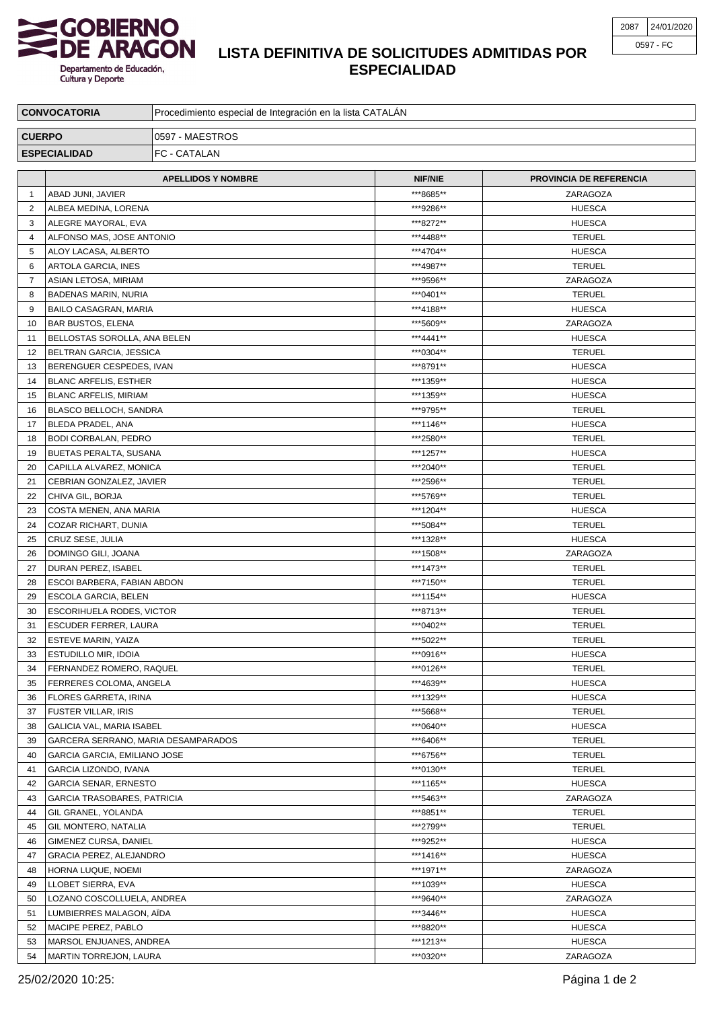

Departamento de Educación,<br>Cultura y Deporte

## **LISTA DEFINITIVA DE SOLICITUDES ADMITIDAS POR ESPECIALIDAD**

| <b>CONVOCATORIA</b>                 |                                                       | Procedimiento especial de Integración en la lista CATALÁN |                        |                                |  |  |
|-------------------------------------|-------------------------------------------------------|-----------------------------------------------------------|------------------------|--------------------------------|--|--|
| <b>CUERPO</b>                       |                                                       | 0597 - MAESTROS                                           |                        |                                |  |  |
| FC - CATALAN<br><b>ESPECIALIDAD</b> |                                                       |                                                           |                        |                                |  |  |
|                                     |                                                       |                                                           |                        |                                |  |  |
|                                     |                                                       | <b>APELLIDOS Y NOMBRE</b>                                 | <b>NIF/NIE</b>         | <b>PROVINCIA DE REFERENCIA</b> |  |  |
| $\mathbf{1}$                        | ABAD JUNI, JAVIER                                     |                                                           | ***8685**<br>***9286** | ZARAGOZA                       |  |  |
| $\overline{2}$<br>3                 | ALBEA MEDINA, LORENA                                  |                                                           | ***8272**              | <b>HUESCA</b><br><b>HUESCA</b> |  |  |
| $\overline{4}$                      | ALEGRE MAYORAL, EVA<br>ALFONSO MAS, JOSE ANTONIO      |                                                           | ***4488**              | <b>TERUEL</b>                  |  |  |
| 5                                   | ALOY LACASA, ALBERTO                                  |                                                           | ***4704**              | <b>HUESCA</b>                  |  |  |
| 6                                   | ARTOLA GARCIA, INES                                   |                                                           | ***4987**              | <b>TERUEL</b>                  |  |  |
| $\overline{7}$                      | ASIAN LETOSA, MIRIAM                                  |                                                           | ***9596**              | ZARAGOZA                       |  |  |
| 8                                   | <b>BADENAS MARIN, NURIA</b>                           |                                                           | ***0401**              | <b>TERUEL</b>                  |  |  |
| 9                                   | <b>BAILO CASAGRAN, MARIA</b>                          |                                                           | ***4188**              | <b>HUESCA</b>                  |  |  |
| 10                                  | <b>BAR BUSTOS, ELENA</b>                              |                                                           | ***5609**              | ZARAGOZA                       |  |  |
| 11                                  | BELLOSTAS SOROLLA, ANA BELEN                          |                                                           | ***4441**              | <b>HUESCA</b>                  |  |  |
| 12                                  | BELTRAN GARCIA, JESSICA                               |                                                           | ***0304**              | <b>TERUEL</b>                  |  |  |
| 13                                  | BERENGUER CESPEDES, IVAN                              |                                                           | ***8791**              | <b>HUESCA</b>                  |  |  |
| 14                                  | <b>BLANC ARFELIS, ESTHER</b>                          |                                                           | ***1359**              | <b>HUESCA</b>                  |  |  |
| 15                                  | <b>BLANC ARFELIS, MIRIAM</b>                          |                                                           | ***1359**              | <b>HUESCA</b>                  |  |  |
| 16                                  | BLASCO BELLOCH, SANDRA                                |                                                           | ***9795**              | <b>TERUEL</b>                  |  |  |
| 17                                  | <b>BLEDA PRADEL, ANA</b>                              |                                                           | ***1146**              | <b>HUESCA</b>                  |  |  |
| 18                                  | <b>BODI CORBALAN, PEDRO</b>                           |                                                           | ***2580**              | <b>TERUEL</b>                  |  |  |
| 19<br>20                            | <b>BUETAS PERALTA, SUSANA</b>                         |                                                           | ***1257**<br>***2040** | <b>HUESCA</b><br><b>TERUEL</b> |  |  |
| 21                                  | CAPILLA ALVAREZ, MONICA                               |                                                           | ***2596**              | <b>TERUEL</b>                  |  |  |
| 22                                  | CEBRIAN GONZALEZ, JAVIER<br>CHIVA GIL, BORJA          |                                                           | ***5769**              | <b>TERUEL</b>                  |  |  |
| 23                                  | COSTA MENEN, ANA MARIA                                |                                                           | ***1204**              | <b>HUESCA</b>                  |  |  |
| 24                                  | COZAR RICHART, DUNIA                                  |                                                           | ***5084**              | <b>TERUEL</b>                  |  |  |
| 25                                  | CRUZ SESE, JULIA                                      |                                                           | ***1328**              | <b>HUESCA</b>                  |  |  |
| 26                                  | DOMINGO GILI, JOANA                                   |                                                           | ***1508**              | ZARAGOZA                       |  |  |
| 27                                  | DURAN PEREZ, ISABEL                                   |                                                           | ***1473**              | <b>TERUEL</b>                  |  |  |
| 28                                  | ESCOI BARBERA, FABIAN ABDON                           |                                                           | ***7150**              | <b>TERUEL</b>                  |  |  |
| 29                                  | ESCOLA GARCIA, BELEN                                  |                                                           | ***1154**              | <b>HUESCA</b>                  |  |  |
| 30                                  | ESCORIHUELA RODES, VICTOR                             |                                                           | ***8713**              | <b>TERUEL</b>                  |  |  |
| 31                                  | <b>ESCUDER FERRER, LAURA</b>                          |                                                           | ***0402**              | <b>TERUEL</b>                  |  |  |
| 32                                  | <b>ESTEVE MARIN, YAIZA</b>                            |                                                           | ***5022**              | <b>TERUEL</b>                  |  |  |
| 33                                  | <b>ESTUDILLO MIR, IDOIA</b>                           |                                                           | ***0916**              | <b>HUESCA</b>                  |  |  |
| 34                                  | <b>FERNANDEZ ROMERO, RAQUEL</b>                       |                                                           | ***0126**              | <b>TERUEL</b>                  |  |  |
| 35                                  | FERRERES COLOMA, ANGELA                               |                                                           | ***4639**              | <b>HUESCA</b>                  |  |  |
| 36                                  | <b>FLORES GARRETA, IRINA</b>                          |                                                           | ***1329**              | <b>HUESCA</b>                  |  |  |
| 37                                  | <b>FUSTER VILLAR, IRIS</b>                            |                                                           | ***5668**              | <b>TERUEL</b>                  |  |  |
| 38                                  | GALICIA VAL, MARIA ISABEL                             |                                                           | ***0640**<br>***6406** | <b>HUESCA</b>                  |  |  |
| 39<br>40                            | GARCERA SERRANO, MARIA DESAMPARADOS                   |                                                           | ***6756**              | <b>TERUEL</b><br><b>TERUEL</b> |  |  |
| 41                                  | GARCIA GARCIA, EMILIANO JOSE                          |                                                           | ***0130**              | <b>TERUEL</b>                  |  |  |
| 42                                  | GARCIA LIZONDO, IVANA<br><b>GARCIA SENAR, ERNESTO</b> |                                                           | ***1165**              | <b>HUESCA</b>                  |  |  |
| 43                                  | <b>GARCIA TRASOBARES, PATRICIA</b>                    |                                                           | ***5463**              | ZARAGOZA                       |  |  |
| 44                                  | GIL GRANEL, YOLANDA                                   |                                                           | ***8851**              | <b>TERUEL</b>                  |  |  |
| 45                                  | GIL MONTERO, NATALIA                                  |                                                           | ***2799**              | <b>TERUEL</b>                  |  |  |
| 46                                  | GIMENEZ CURSA, DANIEL                                 |                                                           | ***9252**              | <b>HUESCA</b>                  |  |  |
| 47                                  | GRACIA PEREZ, ALEJANDRO                               |                                                           | ***1416**              | <b>HUESCA</b>                  |  |  |
| 48                                  | HORNA LUQUE, NOEMI                                    |                                                           | ***1971**              | ZARAGOZA                       |  |  |
| 49                                  | LLOBET SIERRA, EVA                                    |                                                           | ***1039**              | <b>HUESCA</b>                  |  |  |
| 50                                  | LOZANO COSCOLLUELA, ANDREA                            |                                                           | ***9640**              | ZARAGOZA                       |  |  |
| 51                                  | LUMBIERRES MALAGON, AIDA                              |                                                           | ***3446**              | <b>HUESCA</b>                  |  |  |
| 52                                  | MACIPE PEREZ, PABLO                                   |                                                           | ***8820**              | <b>HUESCA</b>                  |  |  |
| 53                                  | MARSOL ENJUANES, ANDREA                               |                                                           | ***1213**              | <b>HUESCA</b>                  |  |  |
| 54                                  | MARTIN TORREJON, LAURA                                |                                                           | ***0320**              | ZARAGOZA                       |  |  |

25/02/2020 10:25: Página 1 de 2